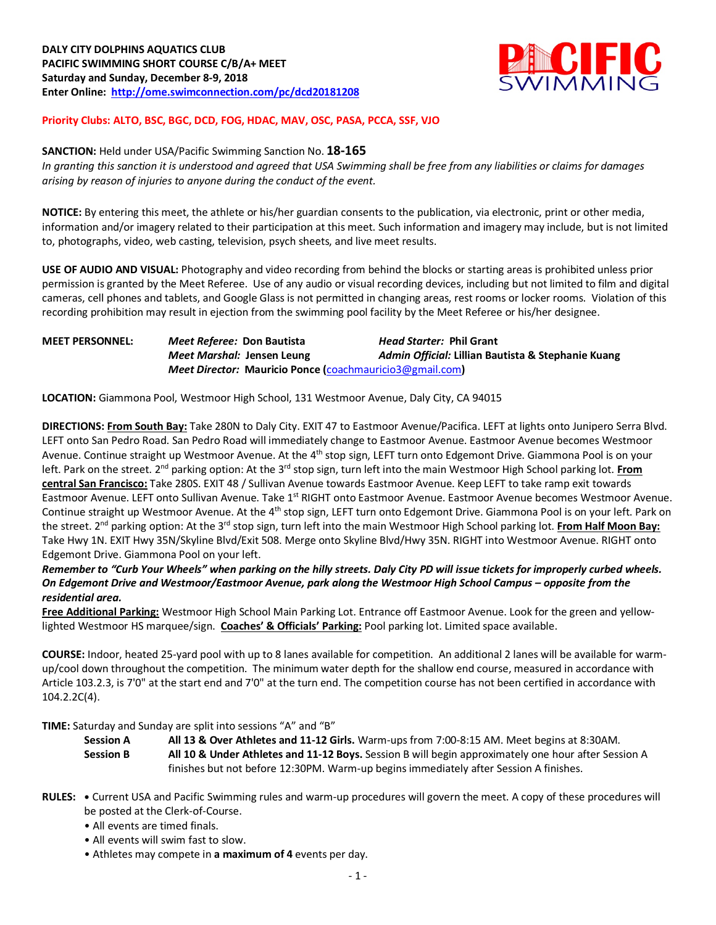

## **Priority Clubs: ALTO, BSC, BGC, DCD, FOG, HDAC, MAV, OSC, PASA, PCCA, SSF, VJO**

#### **SANCTION:** Held under USA/Pacific Swimming Sanction No. **18-165**

*In granting this sanction it is understood and agreed that USA Swimming shall be free from any liabilities or claims for damages arising by reason of injuries to anyone during the conduct of the event.* 

**NOTICE:** By entering this meet, the athlete or his/her guardian consents to the publication, via electronic, print or other media, information and/or imagery related to their participation at this meet. Such information and imagery may include, but is not limited to, photographs, video, web casting, television, psych sheets, and live meet results.

**USE OF AUDIO AND VISUAL:** Photography and video recording from behind the blocks or starting areas is prohibited unless prior permission is granted by the Meet Referee. Use of any audio or visual recording devices, including but not limited to film and digital cameras, cell phones and tablets, and Google Glass is not permitted in changing areas, rest rooms or locker rooms. Violation of this recording prohibition may result in ejection from the swimming pool facility by the Meet Referee or his/her designee.

## **MEET PERSONNEL:** *Meet Referee:* **Don Bautista** *Head Starter:* **Phil Grant** *Meet Marshal:* **Jensen Leung** *Admin Official:* **Lillian Bautista & Stephanie Kuang** *Meet Director:* **Mauricio Ponce (**coachmauricio3@gmail.com**)**

**LOCATION:** Giammona Pool, Westmoor High School, 131 Westmoor Avenue, Daly City, CA 94015

**DIRECTIONS: From South Bay:** Take 280N to Daly City. EXIT 47 to Eastmoor Avenue/Pacifica. LEFT at lights onto Junipero Serra Blvd. LEFT onto San Pedro Road. San Pedro Road will immediately change to Eastmoor Avenue. Eastmoor Avenue becomes Westmoor Avenue. Continue straight up Westmoor Avenue. At the 4<sup>th</sup> stop sign, LEFT turn onto Edgemont Drive. Giammona Pool is on your left. Park on the street. 2<sup>nd</sup> parking option: At the 3<sup>rd</sup> stop sign, turn left into the main Westmoor High School parking lot. From **central San Francisco:** Take 280S. EXIT 48 / Sullivan Avenue towards Eastmoor Avenue. Keep LEFT to take ramp exit towards Eastmoor Avenue. LEFT onto Sullivan Avenue. Take 1<sup>st</sup> RIGHT onto Eastmoor Avenue. Eastmoor Avenue becomes Westmoor Avenue. Continue straight up Westmoor Avenue. At the 4<sup>th</sup> stop sign, LEFT turn onto Edgemont Drive. Giammona Pool is on your left. Park on the street. 2<sup>nd</sup> parking option: At the 3<sup>rd</sup> stop sign, turn left into the main Westmoor High School parking lot. From Half Moon Bay: Take Hwy 1N. EXIT Hwy 35N/Skyline Blvd/Exit 508. Merge onto Skyline Blvd/Hwy 35N. RIGHT into Westmoor Avenue. RIGHT onto Edgemont Drive. Giammona Pool on your left.

### *Remember to "Curb Your Wheels" when parking on the hilly streets. Daly City PD will issue tickets for improperly curbed wheels. On Edgemont Drive and Westmoor/Eastmoor Avenue, park along the Westmoor High School Campus – opposite from the residential area.*

**Free Additional Parking:** Westmoor High School Main Parking Lot. Entrance off Eastmoor Avenue. Look for the green and yellowlighted Westmoor HS marquee/sign. **Coaches' & Officials' Parking:** Pool parking lot. Limited space available.

**COURSE:** Indoor, heated 25-yard pool with up to 8 lanes available for competition. An additional 2 lanes will be available for warmup/cool down throughout the competition. The minimum water depth for the shallow end course, measured in accordance with Article 103.2.3, is 7'0" at the start end and 7'0" at the turn end. The competition course has not been certified in accordance with 104.2.2C(4).

**TIME:** Saturday and Sunday are split into sessions "A" and "B"

**Session A All 13 & Over Athletes and 11-12 Girls.** Warm-ups from 7:00-8:15 AM. Meet begins at 8:30AM. **Session B All 10 & Under Athletes and 11-12 Boys.** Session B will begin approximately one hour after Session A finishes but not before 12:30PM. Warm-up begins immediately after Session A finishes.

- **RULES: •** Current USA and Pacific Swimming rules and warm-up procedures will govern the meet. A copy of these procedures will be posted at the Clerk-of-Course.
	- All events are timed finals.
	- All events will swim fast to slow.
	- Athletes may compete in **a maximum of 4** events per day.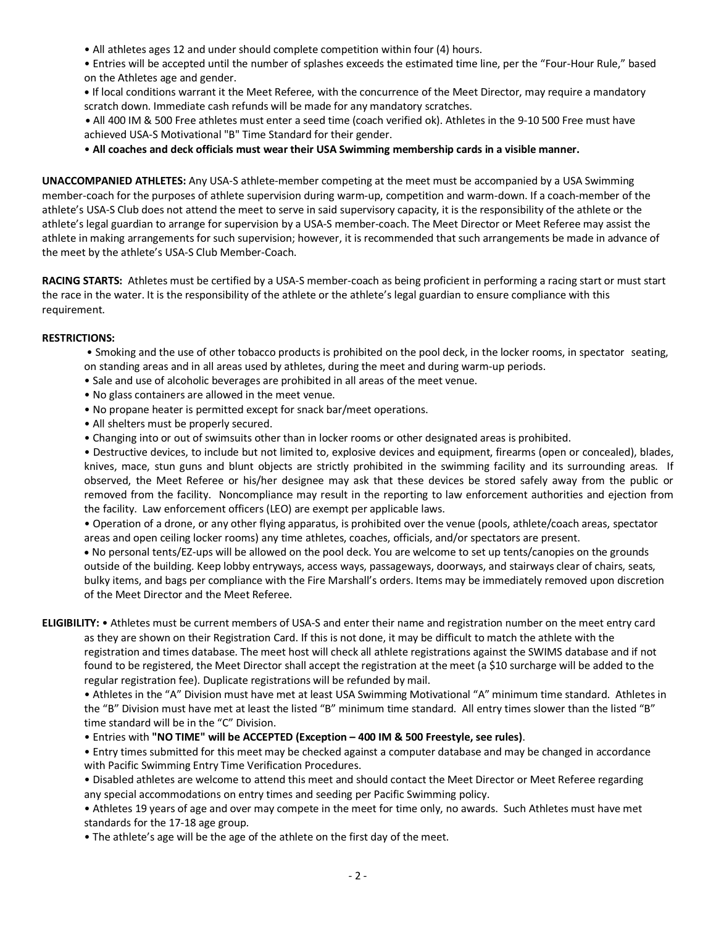- All athletes ages 12 and under should complete competition within four (4) hours.
- Entries will be accepted until the number of splashes exceeds the estimated time line, per the "Four-Hour Rule," based on the Athletes age and gender.

**•** If local conditions warrant it the Meet Referee, with the concurrence of the Meet Director, may require a mandatory scratch down. Immediate cash refunds will be made for any mandatory scratches.

**•** All 400 IM & 500 Free athletes must enter a seed time (coach verified ok). Athletes in the 9-10 500 Free must have achieved USA-S Motivational "B" Time Standard for their gender.

• **All coaches and deck officials must wear their USA Swimming membership cards in a visible manner.** 

**UNACCOMPANIED ATHLETES:** Any USA-S athlete-member competing at the meet must be accompanied by a USA Swimming member-coach for the purposes of athlete supervision during warm-up, competition and warm-down. If a coach-member of the athlete's USA-S Club does not attend the meet to serve in said supervisory capacity, it is the responsibility of the athlete or the athlete's legal guardian to arrange for supervision by a USA-S member-coach. The Meet Director or Meet Referee may assist the athlete in making arrangements for such supervision; however, it is recommended that such arrangements be made in advance of the meet by the athlete's USA-S Club Member-Coach.

**RACING STARTS:** Athletes must be certified by a USA-S member-coach as being proficient in performing a racing start or must start the race in the water. It is the responsibility of the athlete or the athlete's legal guardian to ensure compliance with this requirement.

### **RESTRICTIONS:**

• Smoking and the use of other tobacco products is prohibited on the pool deck, in the locker rooms, in spectator seating, on standing areas and in all areas used by athletes, during the meet and during warm-up periods.

- Sale and use of alcoholic beverages are prohibited in all areas of the meet venue.
- No glass containers are allowed in the meet venue.
- No propane heater is permitted except for snack bar/meet operations.
- All shelters must be properly secured.
- Changing into or out of swimsuits other than in locker rooms or other designated areas is prohibited.

• Destructive devices, to include but not limited to, explosive devices and equipment, firearms (open or concealed), blades, knives, mace, stun guns and blunt objects are strictly prohibited in the swimming facility and its surrounding areas. If observed, the Meet Referee or his/her designee may ask that these devices be stored safely away from the public or removed from the facility. Noncompliance may result in the reporting to law enforcement authorities and ejection from the facility. Law enforcement officers (LEO) are exempt per applicable laws.

• Operation of a drone, or any other flying apparatus, is prohibited over the venue (pools, athlete/coach areas, spectator areas and open ceiling locker rooms) any time athletes, coaches, officials, and/or spectators are present.

• No personal tents/EZ-ups will be allowed on the pool deck. You are welcome to set up tents/canopies on the grounds outside of the building. Keep lobby entryways, access ways, passageways, doorways, and stairways clear of chairs, seats, bulky items, and bags per compliance with the Fire Marshall's orders. Items may be immediately removed upon discretion of the Meet Director and the Meet Referee.

**ELIGIBILITY:** • Athletes must be current members of USA-S and enter their name and registration number on the meet entry card as they are shown on their Registration Card. If this is not done, it may be difficult to match the athlete with the registration and times database. The meet host will check all athlete registrations against the SWIMS database and if not found to be registered, the Meet Director shall accept the registration at the meet (a \$10 surcharge will be added to the regular registration fee). Duplicate registrations will be refunded by mail.

• Athletes in the "A" Division must have met at least USA Swimming Motivational "A" minimum time standard. Athletes in the "B" Division must have met at least the listed "B" minimum time standard. All entry times slower than the listed "B" time standard will be in the "C" Division.

• Entries with **"NO TIME" will be ACCEPTED (Exception – 400 IM & 500 Freestyle, see rules)**.

• Entry times submitted for this meet may be checked against a computer database and may be changed in accordance with Pacific Swimming Entry Time Verification Procedures.

• Disabled athletes are welcome to attend this meet and should contact the Meet Director or Meet Referee regarding any special accommodations on entry times and seeding per Pacific Swimming policy.

• Athletes 19 years of age and over may compete in the meet for time only, no awards. Such Athletes must have met standards for the 17-18 age group.

• The athlete's age will be the age of the athlete on the first day of the meet.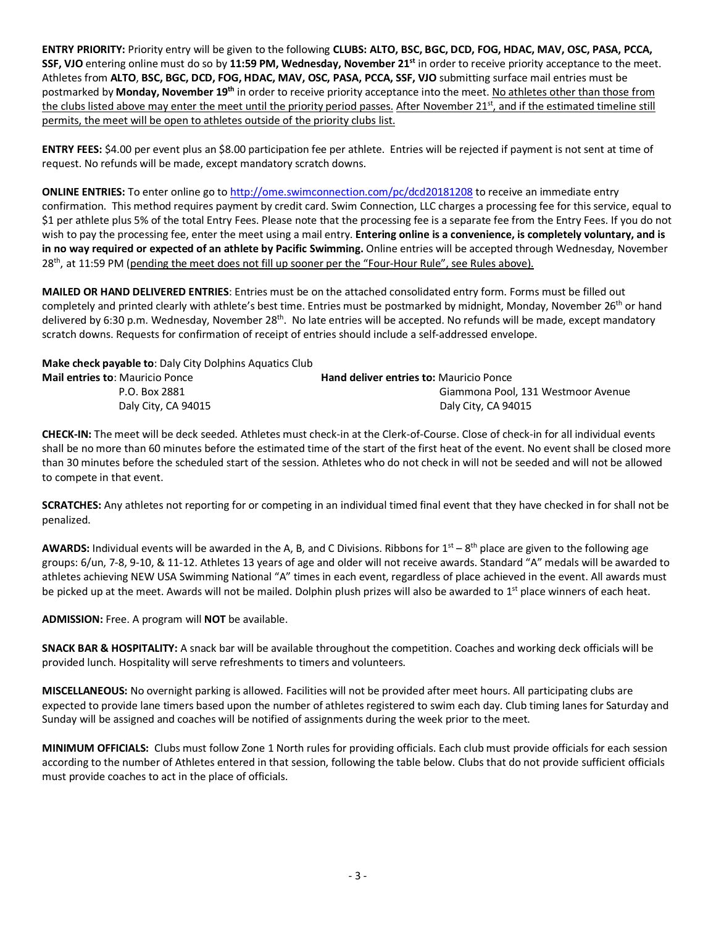**ENTRY PRIORITY:** Priority entry will be given to the following **CLUBS: ALTO, BSC, BGC, DCD, FOG, HDAC, MAV, OSC, PASA, PCCA, SSF, VJO** entering online must do so by 11:59 PM, Wednesday, November 21<sup>st</sup> in order to receive priority acceptance to the meet. Athletes from **ALTO**, **BSC, BGC, DCD, FOG, HDAC, MAV, OSC, PASA, PCCA, SSF, VJO** submitting surface mail entries must be postmarked by **Monday, November 19th** in order to receive priority acceptance into the meet. No athletes other than those from the clubs listed above may enter the meet until the priority period passes. After November 21<sup>st</sup>, and if the estimated timeline still permits, the meet will be open to athletes outside of the priority clubs list.

**ENTRY FEES:** \$4.00 per event plus an \$8.00 participation fee per athlete. Entries will be rejected if payment is not sent at time of request. No refunds will be made, except mandatory scratch downs.

**ONLINE ENTRIES:** To enter online go to http://ome.swimconnection.com/pc/dcd20181208 to receive an immediate entry confirmation. This method requires payment by credit card. Swim Connection, LLC charges a processing fee for this service, equal to \$1 per athlete plus 5% of the total Entry Fees. Please note that the processing fee is a separate fee from the Entry Fees. If you do not wish to pay the processing fee, enter the meet using a mail entry. **Entering online is a convenience, is completely voluntary, and is in no way required or expected of an athlete by Pacific Swimming.** Online entries will be accepted through Wednesday, November 28<sup>th</sup>, at 11:59 PM (pending the meet does not fill up sooner per the "Four-Hour Rule", see Rules above).

**MAILED OR HAND DELIVERED ENTRIES**: Entries must be on the attached consolidated entry form. Forms must be filled out completely and printed clearly with athlete's best time. Entries must be postmarked by midnight, Monday, November 26<sup>th</sup> or hand delivered by 6:30 p.m. Wednesday, November  $28^{th}$ . No late entries will be accepted. No refunds will be made, except mandatory scratch downs. Requests for confirmation of receipt of entries should include a self-addressed envelope.

**Make check payable to**: Daly City Dolphins Aquatics Club

| <b>Mail entries to: Mauricio Ponce</b> | <b>Hand deliver entries to: Mauricio Ponce</b> |
|----------------------------------------|------------------------------------------------|
| P.O. Box 2881                          | Giammona Pool, 131 Westmoor Avenue             |
| Daly City, CA 94015                    | Daly City, CA 94015                            |

**CHECK-IN:** The meet will be deck seeded. Athletes must check-in at the Clerk-of-Course. Close of check-in for all individual events shall be no more than 60 minutes before the estimated time of the start of the first heat of the event. No event shall be closed more than 30 minutes before the scheduled start of the session. Athletes who do not check in will not be seeded and will not be allowed to compete in that event.

**SCRATCHES:** Any athletes not reporting for or competing in an individual timed final event that they have checked in for shall not be penalized.

**AWARDS:** Individual events will be awarded in the A, B, and C Divisions. Ribbons for  $1^{st} - 8^{th}$  place are given to the following age groups: 6/un, 7-8, 9-10, & 11-12. Athletes 13 years of age and older will not receive awards. Standard "A" medals will be awarded to athletes achieving NEW USA Swimming National "A" times in each event, regardless of place achieved in the event. All awards must be picked up at the meet. Awards will not be mailed. Dolphin plush prizes will also be awarded to  $1<sup>st</sup>$  place winners of each heat.

**ADMISSION:** Free. A program will **NOT** be available.

**SNACK BAR & HOSPITALITY:** A snack bar will be available throughout the competition. Coaches and working deck officials will be provided lunch. Hospitality will serve refreshments to timers and volunteers.

**MISCELLANEOUS:** No overnight parking is allowed. Facilities will not be provided after meet hours. All participating clubs are expected to provide lane timers based upon the number of athletes registered to swim each day. Club timing lanes for Saturday and Sunday will be assigned and coaches will be notified of assignments during the week prior to the meet.

**MINIMUM OFFICIALS:** Clubs must follow Zone 1 North rules for providing officials. Each club must provide officials for each session according to the number of Athletes entered in that session, following the table below. Clubs that do not provide sufficient officials must provide coaches to act in the place of officials.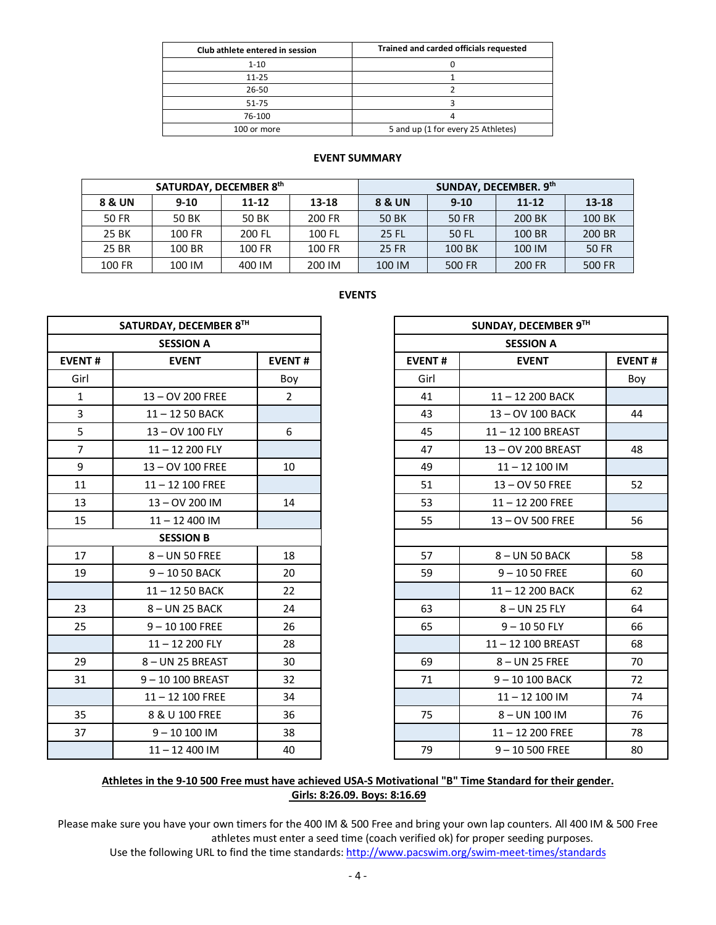| Club athlete entered in session | Trained and carded officials requested |
|---------------------------------|----------------------------------------|
| $1 - 10$                        |                                        |
| $11 - 25$                       |                                        |
| 26-50                           |                                        |
| $51 - 75$                       |                                        |
| 76-100                          |                                        |
| 100 or more                     | 5 and up (1 for every 25 Athletes)     |

#### **EVENT SUMMARY**

|        | SATURDAY, DECEMBER 8th |           |        | SUNDAY, DECEMBER. 9th |          |           |           |  |  |  |
|--------|------------------------|-----------|--------|-----------------------|----------|-----------|-----------|--|--|--|
| 8 & UN | $9 - 10$               | $11 - 12$ | 13-18  | 8 & UN                | $9 - 10$ | $11 - 12$ | $13 - 18$ |  |  |  |
| 50 FR  | 50 BK                  | 50 BK     | 200 FR | <b>50 BK</b>          | 50 FR    | 200 BK    | 100 BK    |  |  |  |
| 25 BK  | 100 FR                 | 200 FL    | 100 FL | 25 FL                 | 50 FL    | 100 BR    | 200 BR    |  |  |  |
| 25 BR  | 100 BR                 | 100 FR    | 100 FR | <b>25 FR</b>          | 100 BK   | 100 IM    | 50 FR     |  |  |  |
| 100 FR | 100 IM                 | 400 IM    | 200 IM | 100 IM                | 500 FR   | 200 FR    | 500 FR    |  |  |  |

| −<br>w<br>× |  |
|-------------|--|
|-------------|--|

|                | SATURDAY, DECEMBER 8TH |                |
|----------------|------------------------|----------------|
|                | <b>SESSION A</b>       |                |
| <b>EVENT#</b>  | <b>EVENT</b>           | <b>EVENT#</b>  |
| Girl           |                        | Boy            |
| $\mathbf{1}$   | 13 - OV 200 FREE       | $\overline{2}$ |
| 3              | $11 - 1250$ BACK       |                |
| 5              | 13-OV 100 FLY          | 6              |
| $\overline{7}$ | $11 - 12200$ FLY       |                |
| 9              | 13-OV 100 FREE         | 10             |
| 11             | $11 - 12$ 100 FREE     |                |
| 13             | 13-OV 200 IM           | 14             |
| 15             | $11 - 12400$ IM        |                |
|                | <b>SESSION B</b>       |                |
| 17             | 8-UN 50 FREE           | 18             |
| 19             | $9 - 1050$ BACK        | 20             |
|                | $11 - 1250$ BACK       | 22             |
| 23             | 8-UN 25 BACK           | 24             |
| 25             | $9 - 10100$ FREE       | 26             |
|                | $11 - 12200$ FLY       | 28             |
| 29             | 8-UN 25 BREAST         | 30             |
| 31             | 9-10 100 BREAST        | 32             |
|                | $11 - 12$ 100 FREE     | 34             |
| 35             | 8 & U 100 FREE         | 36             |
| 37             | $9 - 10100$ IM         | 38             |
|                | $11 - 12$ 400 IM       | 40             |

# **Athletes in the 9-10 500 Free must have achieved USA-S Motivational "B" Time Standard for their gender. Girls: 8:26.09. Boys: 8:16.69**

Please make sure you have your own timers for the 400 IM & 500 Free and bring your own lap counters. All 400 IM & 500 Free athletes must enter a seed time (coach verified ok) for proper seeding purposes.

Use the following URL to find the time standards: http://www.pacswim.org/swim-meet-times/standards